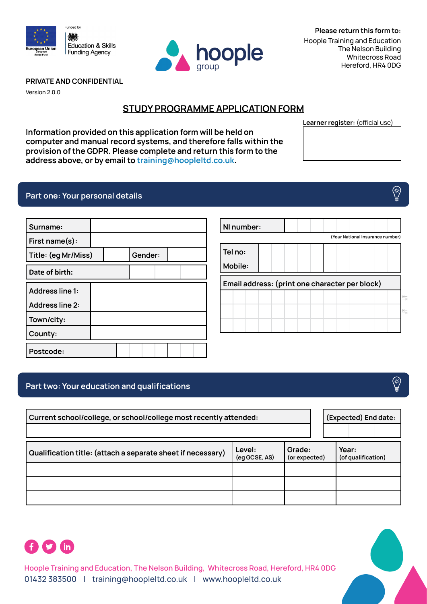



**Please return this form to:**  Hoople Training and Education The Nelson Building Whitecross Road Hereford, HR4 0DG

**Learner register:** (official use)-

### **PRIVATE AND CONFIDENTIAL**

Version 2.0.0

# **STUDY PROGRAMME APPLICATION FORM**

**NI number:** 

**Information provided on this application form will be held on computer and manual record systems, and therefore falls within the provision of the GDPR. Please complete and return this form to the address above, or by email to [training@hoopleltd.co.uk.](mailto:training%40hoopleltd.co.uk?subject=)** 

## **Part one: Your personal details**

| Surname:               |  |         |  |  |
|------------------------|--|---------|--|--|
| First name(s):         |  |         |  |  |
| Title: (eg Mr/Miss)    |  | Gender: |  |  |
| Date of birth:         |  |         |  |  |
| <b>Address line 1:</b> |  |         |  |  |
| <b>Address line 2:</b> |  |         |  |  |
| Town/city:             |  |         |  |  |
| County:                |  |         |  |  |
| Postcode:              |  |         |  |  |

| Tel no: |         |  |                                                |  |  |
|---------|---------|--|------------------------------------------------|--|--|
|         | Mobile: |  |                                                |  |  |
|         |         |  | Email address: (print one character per block) |  |  |
|         |         |  |                                                |  |  |
|         |         |  |                                                |  |  |
|         |         |  |                                                |  |  |

## **Part two: Your education and qualifications-**

| Current school/college, or school/college most recently attended: |                         | (Expected) End date:    |                             |
|-------------------------------------------------------------------|-------------------------|-------------------------|-----------------------------|
| Qualification title: (attach a separate sheet if necessary)       | Level:<br>(eg GCSE, AS) | Grade:<br>(or expected) | Year:<br>(of qualification) |
|                                                                   |                         |                         |                             |
|                                                                   |                         |                         |                             |
|                                                                   |                         |                         |                             |



**Hoople Training and Education, The Nelson Building, Whitecross Road, Hereford, HR4 0DG** 01432 383500 | training@hoopleltd.co.uk | www.hoopleltd.co.uk



⊗

(\*)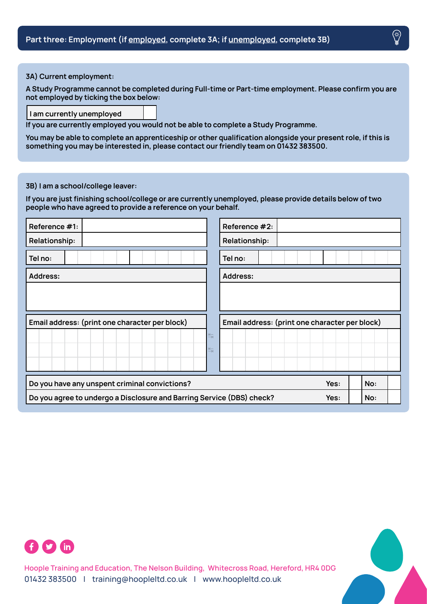#### <span id="page-1-0"></span>**3A) Current employment:**

**A Study Programme cannot be completed during Full-time or Part-time employment. Please confirm you are not employed by ticking the box below:** 

#### **I am currently unemployed**

**If you are currently employed you would not be able to complete a Study Programme.** 

**You may be able to complete an apprenticeship or other qualification alongside your present role, if this is something you may be interested in, please contact our friendly team on 01432 383500.** 

### <span id="page-1-1"></span>**3B) I am a school/college leaver:**

**If you are just finishing school/college or are currently unemployed, please provide details below of two people who have agreed to provide a reference on your behalf.** 

| Reference #1:                                                         | Reference #2:                                  |  |  |
|-----------------------------------------------------------------------|------------------------------------------------|--|--|
| Relationship:                                                         | Relationship:                                  |  |  |
| Tel no:                                                               | Tel no:                                        |  |  |
| Address:                                                              | <b>Address:</b>                                |  |  |
|                                                                       |                                                |  |  |
|                                                                       |                                                |  |  |
| Email address: (print one character per block)                        | Email address: (print one character per block) |  |  |
|                                                                       | 与                                              |  |  |
|                                                                       | う                                              |  |  |
|                                                                       |                                                |  |  |
| Do you have any unspent criminal convictions?                         | Yes:<br>No:                                    |  |  |
| Do you agree to undergo a Disclosure and Barring Service (DBS) check? | Yes:<br>No:                                    |  |  |



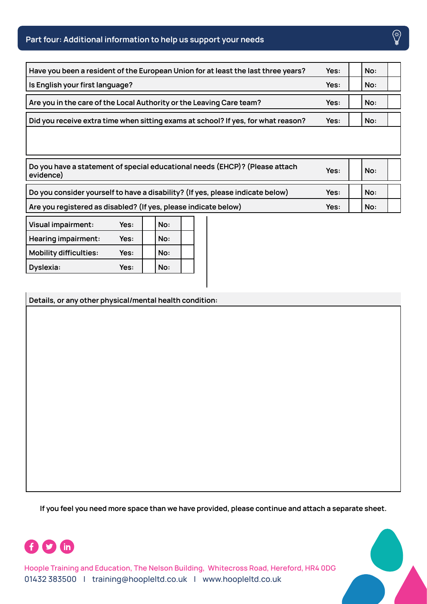# **Part four: Additional information to help us support your needs**

| Have you been a resident of the European Union for at least the last three years? | Yes: | No: |  |
|-----------------------------------------------------------------------------------|------|-----|--|
| Is English your first language?                                                   | Yes: | No: |  |
| Are you in the care of the Local Authority or the Leaving Care team?              | Yes: | No: |  |
| Did you receive extra time when sitting exams at school? If yes, for what reason? | Yes: | No: |  |
|                                                                                   |      |     |  |

| Do you have a statement of special educational needs (EHCP)? (Please attach<br>evidence) | Yes: | No: |  |
|------------------------------------------------------------------------------------------|------|-----|--|
| Do you consider yourself to have a disability? (If yes, please indicate below)           | Yes: | No: |  |
| Are you registered as disabled? (If yes, please indicate below)                          | Yes: | No: |  |

| Visual impairment:         | Yes: | No: |  |
|----------------------------|------|-----|--|
| <b>Hearing impairment:</b> | Yes: | No: |  |
| Mobility difficulties:     | Yes: | No: |  |
| Dyslexia:                  | Yes: | No: |  |

**Details, or any other physical/mental health condition:** 

If you feel you need more space than we have provided, please continue and attach a separate sheet.



**Hoople Training and Education, The Nelson Building, Whitecross Road, Hereford, HR4 0DG** 01432 383500 | training@hoopleltd.co.uk | www.hoopleltd.co.uk

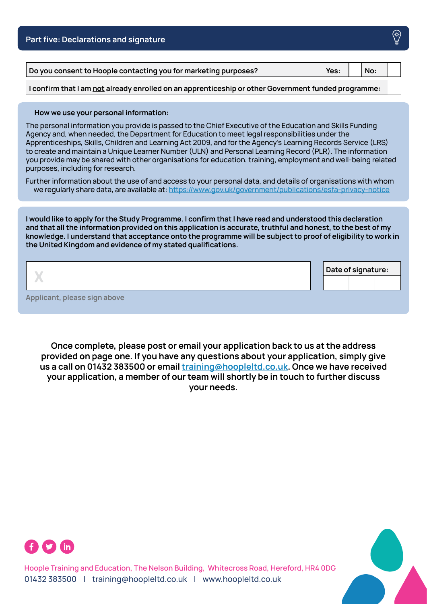| <b>Part five: Declarations and signature</b>                                                        |      |     | ∖∰ |
|-----------------------------------------------------------------------------------------------------|------|-----|----|
| Do you consent to Hoople contacting you for marketing purposes?                                     | Yes: | No: |    |
| I confirm that I am not already enrolled on an apprenticeship or other Government funded programme: |      |     |    |

#### **How we use your personal information:**

The personal information you provide is passed to the Chief Executive of the Education and Skills Funding Agency and, when needed, the Department for Education to meet legal responsibilities under the Apprenticeships, Skills, Children and Learning Act 2009, and for the Agency's Learning Records Service (LRS) to create and maintain a Unique Learner Number (ULN) and Personal Learning Record (PLR). The information you provide may be shared with other organisations for education, training, employment and well-being related purposes, including for research.

Further information about the use of and access to your personal data, and details of organisations with whom we regularly share data, are available at: https://www.gov.uk/government/publications/esfa-privacy-notice-

**I would like to apply for the Study Programme. I confirm that I have read and understood this declaration and that all the information provided on this application is accurate, truthful and honest, to the best of my knowledge. I understand that acceptance onto the programme will be subject to proof of eligibility to work in the United Kingdom and evidence of my stated qualifications.-**

|                              |  | Date of signature: |  |
|------------------------------|--|--------------------|--|
| Applicant, please sign above |  |                    |  |

**Once complete, please post or email your application back to us at the address provided on page one. If you have any questions about your application, simply give us a call on 01432 383500 or email [training@hoopleltd.co.uk](mailto:training%40hoopleltd.co.uk?subject=). Once we have received your application, a member of our team will shortly be in touch to further discuss your needs.**